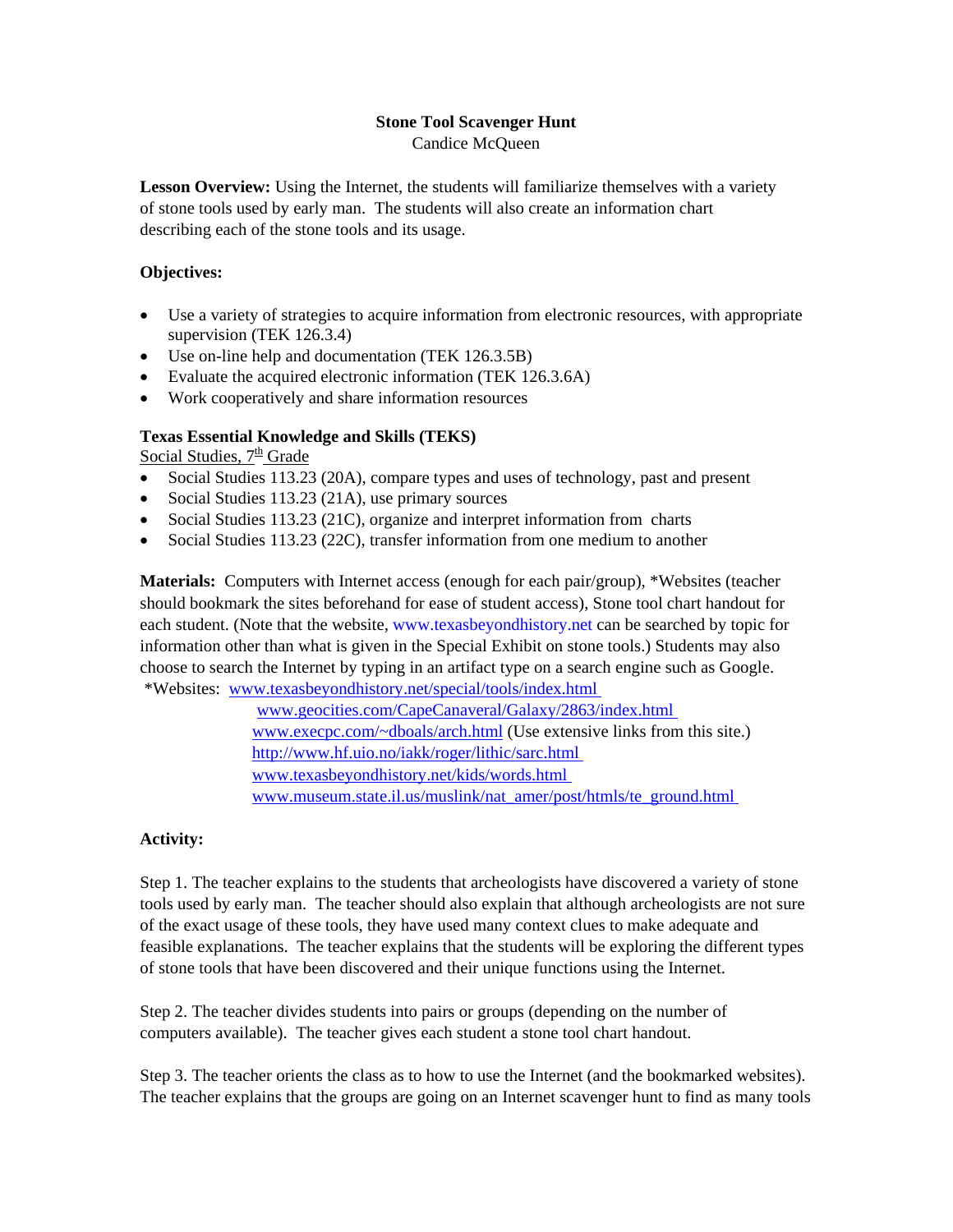### **Stone Tool Scavenger Hunt**

Candice McQueen

**Lesson Overview:** Using the Internet, the students will familiarize themselves with a variety of stone tools used by early man. The students will also create an information chart describing each of the stone tools and its usage.

## **Objectives:**

- Use a variety of strategies to acquire information from electronic resources, with appropriate supervision (TEK 126.3.4)
- Use on-line help and documentation (TEK 126.3.5B)
- Evaluate the acquired electronic information (TEK 126.3.6A)
- Work cooperatively and share information resources

## **Texas Essential Knowledge and Skills (TEKS)**

Social Studies, 7<sup>th</sup> Grade

- Social Studies 113.23 (20A), compare types and uses of technology, past and present
- Social Studies 113.23 (21A), use primary sources
- Social Studies 113.23 (21C), organize and interpret information from charts
- Social Studies 113.23 (22C), transfer information from one medium to another

**Materials:** Computers with Internet access (enough for each pair/group), \*Websites (teacher should bookmark the sites beforehand for ease of student access), Stone tool chart handout for each student. (Note that the website, [www.texasbeyondhistory.net](http://www.texasbeyondhistory.net/) can be searched by topic for information other than what is given in the Special Exhibit on stone tools.) Students may also choose to search the Internet by typing in an artifact type on a search engine such as Google. \*Websites: [www.texasbeyondhistory.net/special/tools/index.html](http://www.texasbeyondhistory.net/special/tools/index.html) 

> [www.geocities.com/CapeCanaveral/Galaxy/2863/index.html](http://www.geocities.com/CapeCanaveral/Galaxy/2863/index.html)  [www.execpc.com/~dboals/arch.html](http://www.execpc.com/~dboals/arch.html) (Use extensive links from this site.) <http://www.hf.uio.no/iakk/roger/lithic/sarc.html> [www.texasbeyondhistory.net/kids/words.html](http://www.texasbeyondhistory.net/kids/words.html)  [www.museum.state.il.us/muslink/nat\\_amer/post/htmls/te\\_ground.html](http://www.museum.state.il.us/muslink/nat_amer/post/htmls/te_ground.html)

### **Activity:**

Step 1. The teacher explains to the students that archeologists have discovered a variety of stone tools used by early man. The teacher should also explain that although archeologists are not sure of the exact usage of these tools, they have used many context clues to make adequate and feasible explanations. The teacher explains that the students will be exploring the different types of stone tools that have been discovered and their unique functions using the Internet.

Step 2. The teacher divides students into pairs or groups (depending on the number of computers available). The teacher gives each student a stone tool chart handout.

Step 3. The teacher orients the class as to how to use the Internet (and the bookmarked websites). The teacher explains that the groups are going on an Internet scavenger hunt to find as many tools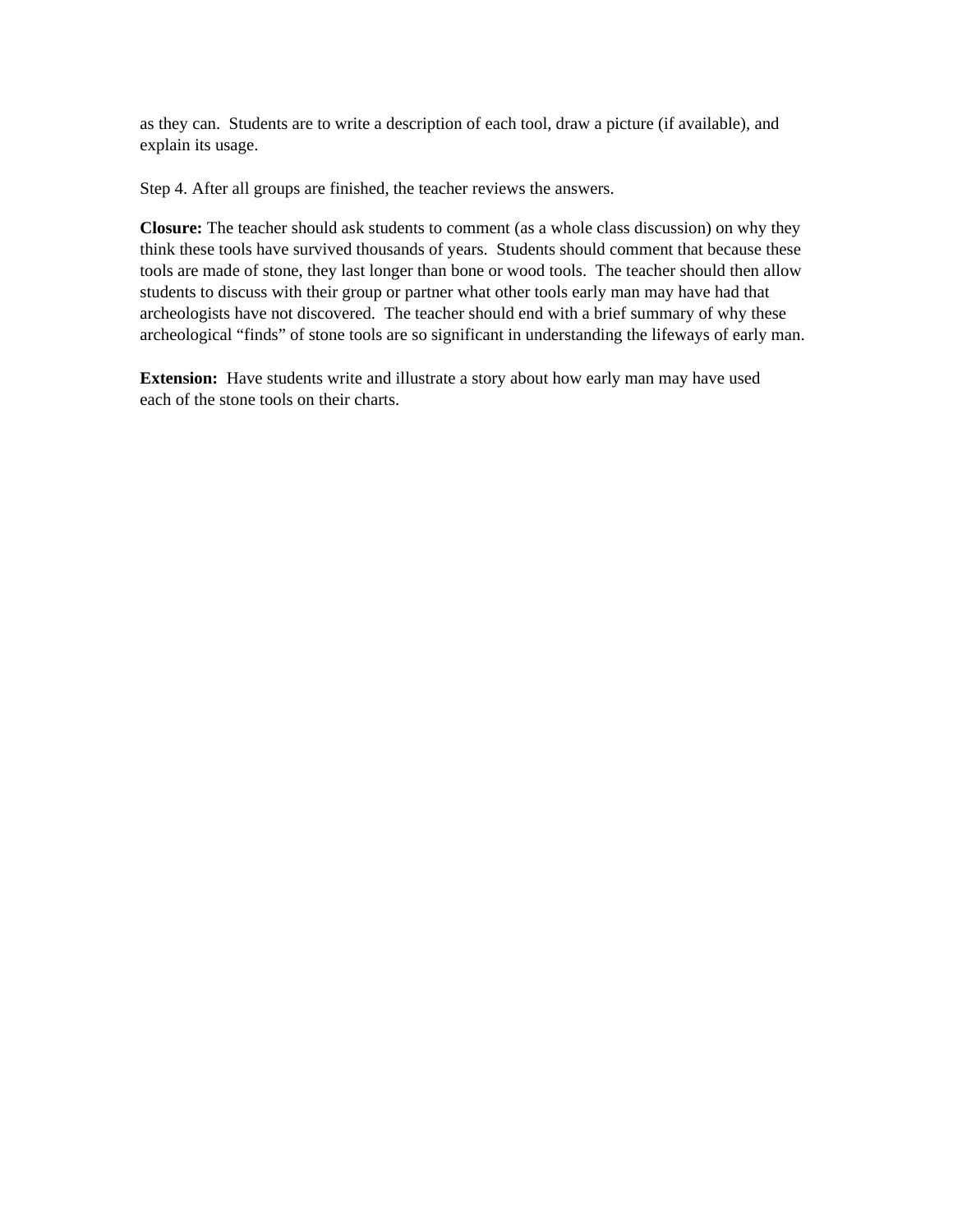as they can. Students are to write a description of each tool, draw a picture (if available), and explain its usage.

Step 4. After all groups are finished, the teacher reviews the answers.

**Closure:** The teacher should ask students to comment (as a whole class discussion) on why they think these tools have survived thousands of years. Students should comment that because these tools are made of stone, they last longer than bone or wood tools. The teacher should then allow students to discuss with their group or partner what other tools early man may have had that archeologists have not discovered. The teacher should end with a brief summary of why these archeological "finds" of stone tools are so significant in understanding the lifeways of early man.

**Extension:** Have students write and illustrate a story about how early man may have used each of the stone tools on their charts.